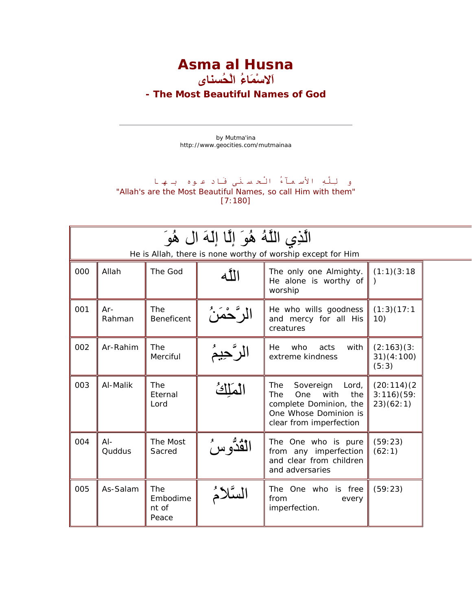**Asma al Husna اَلاسْمَاءُ الْحُسناى**

**- The Most Beautiful Names of God**

by Mutma'ina http://www.geocities.com/mutmainaa

## و لِلَّهِ الأسـمـآءُ الْحـسـنَى فَـاد عـوه بـهـا "Allah's are the Most Beautiful Names, so call Him with them" [7:180]

| الَّذِي اللَّهُ هُوَ إِلَّا إِلَهَ ال هُوَ<br>He is Allah, there is none worthy of worship except for Him |                  |                                   |              |                                                                                                                                             |                                       |  |  |  |  |
|-----------------------------------------------------------------------------------------------------------|------------------|-----------------------------------|--------------|---------------------------------------------------------------------------------------------------------------------------------------------|---------------------------------------|--|--|--|--|
| 000                                                                                                       | Allah            | The God                           | الله         | The only one Almighty.<br>He alone is worthy of<br>worship                                                                                  | (1:1)(3:18)                           |  |  |  |  |
| 001                                                                                                       | $Ar-$<br>Rahman  | <b>The</b><br><b>Beneficent</b>   | الر "ڪُمَرَ" | He who wills goodness<br>and mercy for all His<br>creatures                                                                                 | (1:3)(17:1)<br>10)                    |  |  |  |  |
| 002                                                                                                       | Ar-Rahim         | The<br>Merciful                   | الرّحيمُ     | who<br>with<br>acts<br>He<br>extreme kindness                                                                                               | (2:163)(3:<br>31)(4:100)<br>(5:3)     |  |  |  |  |
| 003                                                                                                       | Al-Malik         | The<br>Eternal<br>Lord            | ملك          | The<br>Sovereign<br>Lord,<br><b>The</b><br>One<br>with<br>the<br>complete Dominion, the<br>One Whose Dominion is<br>clear from imperfection | (20:114)(2)<br>3:116(59)<br>23)(62:1) |  |  |  |  |
| 004                                                                                                       | $AI -$<br>Quddus | The Most<br>Sacred                | لقُدَّو س    | The One who is pure<br>from any imperfection<br>and clear from children<br>and adversaries                                                  | (59:23)<br>(62:1)                     |  |  |  |  |
| 005                                                                                                       | As-Salam         | The<br>Embodime<br>nt of<br>Peace |              | The One who is free<br>from<br>every<br>imperfection.                                                                                       | (59:23)                               |  |  |  |  |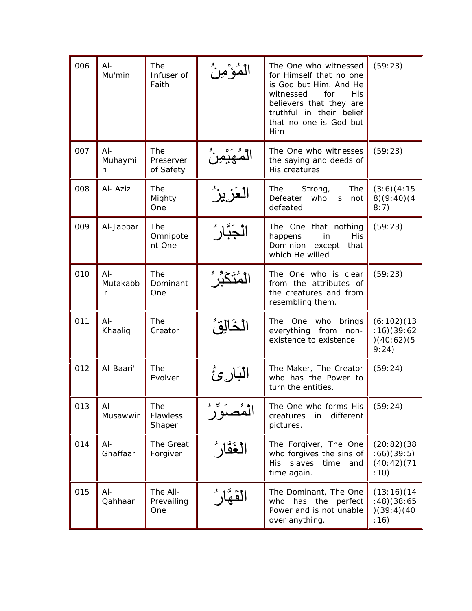| 006 | $Al-$<br>Mu'min         | The<br>Infuser of<br>Faith    | مؤ مِنْ   | The One who witnessed<br>for Himself that no one<br>is God but Him. And He<br><b>His</b><br>witnessed<br>for<br>believers that they are<br>truthful in their belief<br>that no one is God but<br>Him | (59:23)                                           |
|-----|-------------------------|-------------------------------|-----------|------------------------------------------------------------------------------------------------------------------------------------------------------------------------------------------------------|---------------------------------------------------|
| 007 | $Al-$<br>Muhaymi<br>n.  | The<br>Preserver<br>of Safety |           | The One who witnesses<br>the saying and deeds of<br>His creatures                                                                                                                                    | (59:23)                                           |
| 008 | Al-'Aziz                | The<br>Mighty<br>One          |           | The<br>The<br>Strong,<br>Defeater<br>who<br>is<br>not<br>defeated                                                                                                                                    | (3:6)(4:15)<br>8)(9:40)(4<br>8:7)                 |
| 009 | Al-Jabbar               | The<br>Omnipote<br>nt One     |           | The One that nothing<br>happens<br>in<br><b>His</b><br>Dominion<br>except<br>that<br>which He willed                                                                                                 | (59:23)                                           |
| 010 | $Al-$<br>Mutakabb<br>ir | The<br>Dominant<br>One        |           | The One who is clear<br>from the attributes of<br>the creatures and from<br>resembling them.                                                                                                         | (59:23)                                           |
| 011 | $Al-$<br>Khaaliq        | The<br>Creator                |           | The One who<br>brings<br>everything from<br>non-<br>existence to existence                                                                                                                           | (6:102)(13)<br>:16)(39:62<br>)(40:62)(5)<br>9:24) |
| 012 | Al-Baari'               | The<br>Evolver                | البارئ    | The Maker, The Creator<br>who has the Power to<br>turn the entities.                                                                                                                                 | (59:24)                                           |
| 013 | $AI -$<br>Musawwir      | The<br>Flawless<br>Shaper     | ؙۿؙڝؘۊۜڒؙ | The One who forms His<br>different<br>creatures<br>in<br>pictures.                                                                                                                                   | (59:24)                                           |
| 014 | $AI -$<br>Ghaffaar      | The Great<br>Forgiver         | ڷۼؘڦٞارُ  | The Forgiver, The One<br>who forgives the sins of<br>slaves<br>time<br><b>His</b><br>and<br>time again.                                                                                              | (20:82)(38)<br>:66)(39:5)<br>(40:42)(71)<br>:10)  |
| 015 | $AI -$<br>Qahhaar       | The All-<br>Prevailing<br>One |           | The Dominant, The One<br>the<br>perfect<br>who<br>has<br>Power and is not unable<br>over anything.                                                                                                   | (13:16)(14)<br>(38:65)<br>(39:4)(40)<br>: 16)     |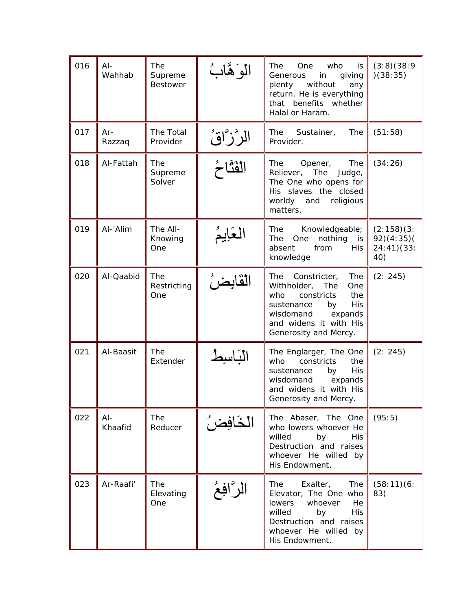| 016 | $AI-$<br>Wahhab   | The<br>Supreme<br><b>Bestower</b> | الوَهَّابُ  | The<br>One<br>who<br>is<br>Generous<br>in<br>giving<br>without<br>plenty<br>any<br>return. He is everything<br>that<br>benefits whether<br>Halal or Haram.                                       | (3:8)(38:9)<br>)(38:35)                       |
|-----|-------------------|-----------------------------------|-------------|--------------------------------------------------------------------------------------------------------------------------------------------------------------------------------------------------|-----------------------------------------------|
| 017 | Ar-<br>Razzaq     | The Total<br>Provider             | الرَّزَّاقُ | The<br>The<br>Sustainer,<br>Provider.                                                                                                                                                            | (51:58)                                       |
| 018 | Al-Fattah         | The<br>Supreme<br>Solver          | الفَثَّاحُ  | The<br>The<br>Opener,<br>Reliever, The<br>Judge,<br>The One who opens for<br>His slaves the closed<br>worldy<br>and<br>religious<br>matters.                                                     | (34:26)                                       |
| 019 | Al-'Alim          | The All-<br>Knowing<br>One        | العَايمُ    | Knowledgeable;<br>The<br>nothing<br>The<br>One<br>is<br>absent<br>from<br><b>His</b><br>knowledge                                                                                                | (2:158)(3:<br>92)(4:35)(<br>24:41)(33:<br>40) |
| 020 | Al-Qaabid         | The<br>Restricting<br>One         | القابضر ُ   | The<br>Constricter,<br>The<br>Withholder,<br>The<br>One<br>who<br>constricts<br>the<br><b>His</b><br>by<br>sustenance<br>wisdomand<br>expands<br>and widens it with His<br>Generosity and Mercy. | (2: 245)                                      |
| 021 | Al-Baasit         | The<br>Extender                   | الباسيط     | The Englarger, The One<br>who<br>constricts<br>the<br><b>His</b><br>sustenance<br>by<br>wisdomand<br>expands<br>and widens it with His<br>Generosity and Mercy.                                  | (2: 245)                                      |
| 022 | $AI -$<br>Khaafid | The<br>Reducer                    | الخافِضُ    | The Abaser, The One<br>who lowers whoever He<br>willed<br>by<br>His.<br>Destruction and raises<br>whoever He willed by<br>His Endowment.                                                         | (95:5)                                        |
| 023 | Ar-Raafi'         | The<br>Elevating<br>One           | الرَّافِعُ  | Exalter,<br>The<br>The<br>Elevator, The One who<br>lowers whoever<br>He<br>willed<br>by<br>His<br>Destruction and raises<br>whoever He willed by<br>His Endowment.                               | (58:11)(6:<br>83)                             |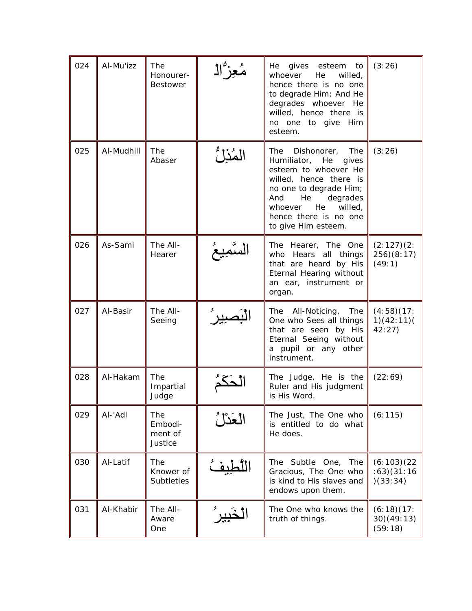| 024 | Al-Mu'izz  | The<br>Honourer-<br><b>Bestower</b>  | مُعِزُّالُ | He<br>gives esteem<br>to<br>He<br>whoever<br>willed,<br>hence there is no one<br>to degrade Him; And He<br>degrades whoever He<br>willed, hence there is<br>no one to give Him<br>esteem.                                          | (3:26)                                 |
|-----|------------|--------------------------------------|------------|------------------------------------------------------------------------------------------------------------------------------------------------------------------------------------------------------------------------------------|----------------------------------------|
| 025 | Al-Mudhill | The<br>Abaser                        | المُزِلُّ  | The<br>Dishonorer, The<br>Humiliator, He<br>gives<br>esteem to whoever He<br>willed, hence there is<br>no one to degrade Him;<br>He<br>And<br>degrades<br>He<br>willed,<br>whoever<br>hence there is no one<br>to give Him esteem. | (3:26)                                 |
| 026 | As-Sami    | The All-<br>Hearer                   |            | The Hearer, The One<br>who Hears all things<br>that are heard by His<br>Eternal Hearing without<br>an ear, instrument or<br>organ.                                                                                                 | (2:127)(2:<br>256)(8:17)<br>(49:1)     |
| 027 | Al-Basir   | The All-<br>Seeing                   |            | The All-Noticing,<br>The<br>One who Sees all things<br>that are seen by His<br>Eternal Seeing without<br>a pupil or any other<br>instrument.                                                                                       | (4:58)(17:<br>1)(42:11)(<br>42:27      |
| 028 | Al-Hakam   | The<br>Impartial<br>Judge            |            | The Judge, He is the<br>Ruler and His judgment<br>is His Word.                                                                                                                                                                     | (22:69)                                |
| 029 | AI-'Adl    | The<br>Embodi-<br>ment of<br>Justice | العَدْلُ   | The Just, The One who<br>is entitled to do what<br>He does.                                                                                                                                                                        | (6:115)                                |
| 030 | Al-Latif   | The<br>Knower of<br>Subtleties       | لطيفُ      | The Subtle One,<br>The<br>Gracious, The One who<br>is kind to His slaves and<br>endows upon them.                                                                                                                                  | (6:103)(22)<br>(63)(31:16)<br>)(33:34) |
| 031 | Al-Khabir  | The All-<br>Aware<br>One             |            | The One who knows the<br>truth of things.                                                                                                                                                                                          | (6:18)(17)<br>30)(49:13)<br>(59:18)    |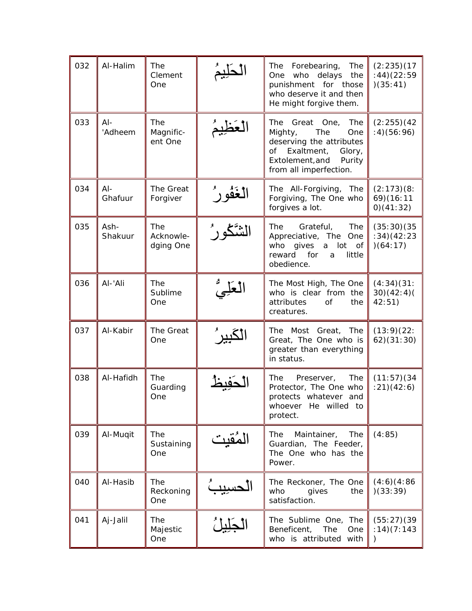| 032 | Al-Halim          | The<br>Clement<br>One         |                 | Forebearing,<br>The<br>The<br>One<br>who<br>delays<br>the<br>punishment for those<br>who deserve it and then<br>He might forgive them.                             | (2:235)(17)<br>(44)(22:59)<br>)(35:41)  |
|-----|-------------------|-------------------------------|-----------------|--------------------------------------------------------------------------------------------------------------------------------------------------------------------|-----------------------------------------|
| 033 | $Al-$<br>'Adheem  | The<br>Magnific-<br>ent One   |                 | The<br>Great One,<br>The<br>Mighty,<br>The<br>One<br>deserving the attributes<br>Exaltment,<br>of<br>Glory,<br>Extolement, and<br>Purity<br>from all imperfection. | (2:255)(42)<br>(4)(56:96)               |
| 034 | $AI -$<br>Ghafuur | The Great<br>Forgiver         | <u>لغَفُورُ</u> | The All-Forgiving, The<br>Forgiving, The One who<br>forgives a lot.                                                                                                | (2:173)(8:<br>69)(16:11<br>0)(41:32)    |
| 035 | Ash-<br>Shakuur   | The<br>Acknowle-<br>dging One |                 | The<br>Grateful,<br>The<br>Appreciative, The One<br>who<br>gives<br>a<br>lot<br>of<br>for<br>reward<br>little<br>a<br>obedience.                                   | (35:30)(35)<br>(34)(42:23)<br>)(64:17)  |
| 036 | Al-'Ali           | The<br>Sublime<br>One         |                 | The Most High, The One<br>who is clear from the<br>attributes<br><b>of</b><br>the<br>creatures.                                                                    | (4:34)(31:<br>30)(42:4)(<br>42:51)      |
| 037 | Al-Kabir          | The Great<br>One              |                 | The Most Great, The<br>Great, The One who is<br>greater than everything<br>in status.                                                                              | (13:9)(22:<br>62)(31:30)                |
| 038 | Al-Hafidh         | The<br>Guarding<br>One        |                 | The<br>Preserver,<br>The<br>Protector, The One who<br>protects whatever<br>and<br>whoever He willed to<br>protect.                                                 | (11:57)(34)<br>(21)(42:6)               |
| 039 | Al-Muqit          | The<br>Sustaining<br>One      | لمُقَيِت        | The<br>Maintainer, The<br>Guardian, The Feeder,<br>The One who has the<br>Power.                                                                                   | (4:85)                                  |
| 040 | Al-Hasib          | The<br>Reckoning<br>One       |                 | The Reckoner, The One<br>who<br>gives<br>the<br>satisfaction.                                                                                                      | (4:6)(4:86)<br>(33:39)                  |
| 041 | Aj-Jalil          | The<br>Majestic<br>One        |                 | The Sublime One, The<br>Beneficent,<br>The<br>One<br>who is attributed with                                                                                        | (55:27)(39)<br>: 14)(7:143<br>$\lambda$ |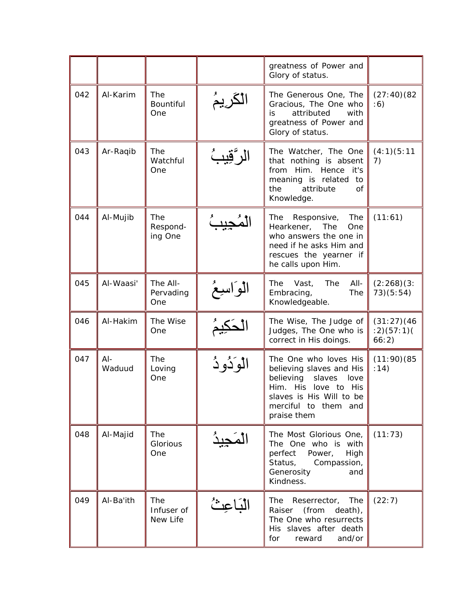|     |                  |                                   |            | greatness of Power and<br>Glory of status.                                                                                                                                     |                                   |
|-----|------------------|-----------------------------------|------------|--------------------------------------------------------------------------------------------------------------------------------------------------------------------------------|-----------------------------------|
| 042 | Al-Karim         | The<br>Bountiful<br>One           | الكريمَ    | The Generous One, The<br>Gracious, The One who<br>attributed<br>is<br>with<br>greatness of Power and<br>Glory of status.                                                       | (27:40)(82)<br>: 6)               |
| 043 | Ar-Raqib         | The<br>Watchful<br>One            |            | The Watcher, The One<br>that nothing is absent<br>Him.<br>Hence<br>from<br>it's<br>meaning is related<br>to<br>attribute<br>the<br>0f<br>Knowledge.                            | (4:1)(5:11)<br>7)                 |
| 044 | Al-Mujib         | <b>The</b><br>Respond-<br>ing One |            | The<br>The<br>Responsive,<br>Hearkener,<br>The<br>One<br>who answers the one in<br>need if he asks Him and<br>rescues the yearner if<br>he calls upon Him.                     | (11:61)                           |
| 045 | Al-Waasi'        | The All-<br>Pervading<br>One      |            | All-<br>Vast,<br>The<br>The<br>Embracing,<br>The<br>Knowledgeable.                                                                                                             | (2:268)(3:<br>73)(5:54)           |
| 046 | Al-Hakim         | The Wise<br>One                   |            | The Wise, The Judge of<br>Judges, The One who is<br>correct in His doings.                                                                                                     | (31:27)(46)<br>(2)(57:1)<br>66:2) |
| 047 | $AI -$<br>Waduud | The<br>Loving<br>One              | الوَدُودُ  | The One who loves His<br>believing slaves and His<br>believing<br>slaves<br>love<br>Him. His love to His<br>slaves is His Will to be<br>merciful to them<br>and<br>praise them | (11:90)(85)<br>: 14)              |
| 048 | Al-Majid         | The<br>Glorious<br>One            | لمَحِيدُ   | The Most Glorious One,<br>The One who is with<br>perfect<br>Power,<br>High<br>Status,<br>Compassion,<br>Generosity<br>and<br>Kindness.                                         | (11:73)                           |
| 049 | Al-Ba'ith        | The<br>Infuser of<br>New Life     | الْبَاعِثُ | The<br>The<br>Reserrector,<br>(from<br>Raiser<br>death),<br>The One who resurrects<br>His slaves after death<br>and/or<br>for<br>reward                                        | (22:7)                            |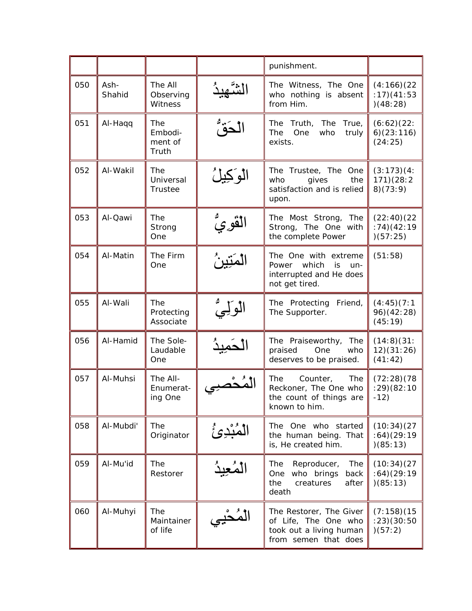|     |                |                                    |                    | punishment.                                                                                        |                                         |
|-----|----------------|------------------------------------|--------------------|----------------------------------------------------------------------------------------------------|-----------------------------------------|
| 050 | Ash-<br>Shahid | The All<br>Observing<br>Witness    |                    | The Witness, The One<br>who nothing is absent<br>from Him.                                         | (4:166)(22)<br>: 17)(41:53<br>(48:28)   |
| 051 | Al-Haqq        | The<br>Embodi-<br>ment of<br>Truth | لحَقٌ              | The<br>The<br>Truth,<br>True,<br>The<br>One<br>who<br>truly<br>exists.                             | (6:62)(22:<br>6)(23:116)<br>(24:25)     |
| 052 | Al-Wakil       | The<br>Universal<br>Trustee        | الوكيلُ            | The Trustee, The One<br>who<br>gives<br>the<br>satisfaction and is relied<br>upon.                 | (3:173)(4:<br>171)(28:2<br>8)(73:9)     |
| 053 | Al-Qawi        | The<br>Strong<br>One               |                    | The<br>The Most Strong,<br>Strong, The One with<br>the complete Power                              | (22:40)(22)<br>(174)(42:19)<br>)(57:25) |
| 054 | Al-Matin       | The Firm<br>One                    | ڷڡؘؾٟٚۑڽؙ          | The One with extreme<br>Power which<br>is<br>$un-$<br>interrupted and He does<br>not get tired.    | (51:58)                                 |
| 055 | Al-Wali        | The<br>Protecting<br>Associate     | الوليُّ<br>الوليُّ | The Protecting<br>Friend,<br>The Supporter.                                                        | (4:45)(7:1)<br>96) (42:28)<br>(45:19)   |
| 056 | Al-Hamid       | The Sole-<br>Laudable<br>One       |                    | The Praiseworthy,<br>The<br>praised<br>One<br>who<br>deserves to be praised.                       | (14:8)(31:<br>12)(31:26)<br>(41:42)     |
| 057 | Al-Muhsi       | The All-<br>Enumerat-<br>ing One   |                    | The<br>Counter,<br>The<br>Reckoner, The One who<br>the count of things are<br>known to him.        | (72:28)(78)<br>(29)(82:10)<br>$-12)$    |
| 058 | Al-Mubdi'      | The<br>Originator                  | المُبْدِئُ         | The One who started<br>the human being. That<br>is, He created him.                                | (10:34)(27)<br>:64)(29:19<br>)(85:13)   |
| 059 | Al-Mu'id       | The<br>Restorer                    | لْمُعِيدُ          | Reproducer,<br>The<br>The<br>who brings<br>One<br>back<br>creatures<br>after<br>the<br>death       | (10:34)(27)<br>:64)(29:19<br>)(85:13)   |
| 060 | Al-Muhyi       | The<br>Maintainer<br>of life       | لمُحۡيِي           | The Restorer, The Giver<br>of Life, The One who<br>took out a living human<br>from semen that does | (7:158)(15)<br>(23)(30:50)<br>)(57:2)   |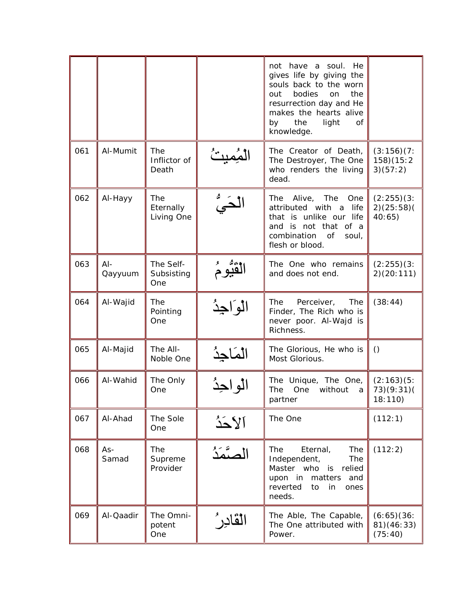|     |                   |                                |                    | not have a soul.<br>He<br>gives life by giving the<br>souls back to the worn<br>bodies<br>out<br>the<br><b>on</b><br>resurrection day and He<br>makes the hearts alive<br>the<br>light<br>by<br>Οf<br>knowledge. |                                     |
|-----|-------------------|--------------------------------|--------------------|------------------------------------------------------------------------------------------------------------------------------------------------------------------------------------------------------------------|-------------------------------------|
| 061 | Al-Mumit          | The<br>Inflictor of<br>Death   |                    | The Creator of Death,<br>The Destroyer, The One<br>who renders the living<br>dead.                                                                                                                               | (3:156)(7:<br>158)(15:2<br>3)(57:2) |
| 062 | Al-Hayy           | The<br>Eternally<br>Living One |                    | The<br>Alive,<br>The<br>One<br>attributed with a<br>life<br>that is unlike our life<br>and is not that of a<br>combination<br>of<br>soul,<br>flesh or blood.                                                     | (2:255)(3:<br>2)(25:58)<br>40:65)   |
| 063 | $AI -$<br>Qayyuum | The Self-<br>Subsisting<br>One | ٚ <b>ڷ</b> ڨۘؿۜۅۦؙ | The One who remains<br>and does not end.                                                                                                                                                                         | (2:255)(3:<br>2)(20:111)            |
| 064 | Al-Wajid          | The<br>Pointing<br>One         | الواجذ             | The<br>Perceiver,<br>The<br>Finder, The Rich who is<br>never poor. Al-Wajd is<br>Richness.                                                                                                                       | (38:44)                             |
| 065 | Al-Majid          | The All-<br>Noble One          |                    | The Glorious, He who is<br>Most Glorious.                                                                                                                                                                        | $\circ$                             |
| 066 | Al-Wahid          | The Only<br>One                | الو اجدُ           | The Unique, The One,<br>without<br>The<br>One<br>a<br>partner                                                                                                                                                    | (2:163)(5:<br>73)(9:31)(<br>18:110) |
| 067 | Al-Ahad           | The Sole<br>One                | آلأحَدُ            | The One                                                                                                                                                                                                          | (112:1)                             |
| 068 | As-<br>Samad      | The<br>Supreme<br>Provider     | صتمة               | <b>The</b><br>Eternal,<br>The<br>Independent,<br>The<br>Master who is<br>relied<br>upon in<br>matters<br>and<br>reverted<br>to<br>in<br>ones<br>needs.                                                           | (112:2)                             |
| 069 | Al-Qaadir         | The Omni-<br>potent<br>One     | القادر ُ           | The Able, The Capable,<br>The One attributed with<br>Power.                                                                                                                                                      | (6:65)(36:<br>81)(46:33)<br>(75:40) |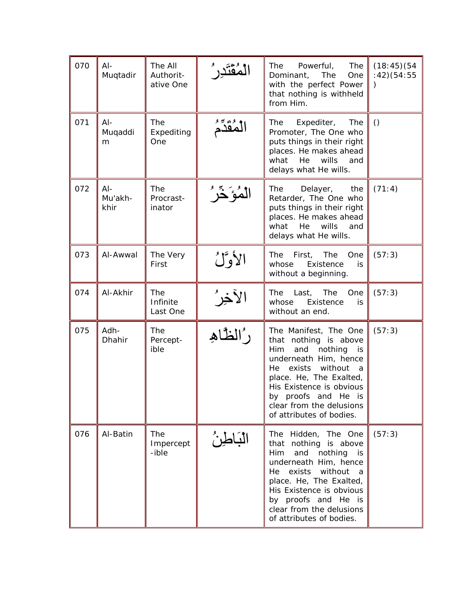| 070 | $AI -$<br>Muqtadir        | The All<br>Authorit-<br>ative One |                  | The<br>The<br>Powerful,<br>Dominant,<br>The<br>One<br>with the perfect Power<br>that nothing is withheld<br>from Him.                                                                                                                                                                 | (18:45)(54)<br>: 42)(54:55 |
|-----|---------------------------|-----------------------------------|------------------|---------------------------------------------------------------------------------------------------------------------------------------------------------------------------------------------------------------------------------------------------------------------------------------|----------------------------|
| 071 | $AI -$<br>Muqaddi<br>m    | The<br>Expediting<br>One          |                  | The<br>Expediter,<br>The<br>Promoter, The One who<br>puts things in their right<br>places. He makes ahead<br>what<br>He<br>wills<br>and<br>delays what He wills.                                                                                                                      | $\left( \right)$           |
| 072 | $AI -$<br>Mu'akh-<br>khir | The<br>Procrast-<br>inator        | ڷڡؙؗؗؗؗؗؗؗۏؘڂۜؗڒ | The<br>Delayer,<br>the<br>Retarder, The One who<br>puts things in their right<br>places. He makes ahead<br>what<br>He<br>wills<br>and<br>delays what He wills.                                                                                                                        | (71:4)                     |
| 073 | Al-Awwal                  | The Very<br>First                 | الأوَّلُ         | The<br>First,<br>The<br>One<br>whose<br>Existence<br>is.<br>without a beginning.                                                                                                                                                                                                      | (57:3)                     |
| 074 | Al-Akhir                  | The<br>Infinite<br>Last One       | الآخِرُ          | The<br>Last,<br>The<br>One<br>whose<br>Existence<br>is<br>without an end.                                                                                                                                                                                                             | (57:3)                     |
| 075 | Adh-<br>Dhahir            | The<br>Percept-<br>ible           | رُالظَاهِ        | The Manifest, The One<br>that nothing is above<br><b>Him</b><br>nothing<br>and<br>is<br>underneath Him, hence<br>without<br>He<br>exists<br>- a<br>place. He, The Exalted,<br>His Existence is obvious<br>by proofs and He is<br>clear from the delusions<br>of attributes of bodies. | (57:3)                     |
| 076 | Al-Batin                  | The<br>Impercept<br>-ible         | الْبَاطِنُ       | The Hidden, The One<br>that nothing is above<br>and nothing<br><b>Him</b><br>is<br>underneath Him, hence<br>without a<br>exists<br>He<br>place. He, The Exalted,<br>His Existence is obvious<br>by proofs and He is<br>clear from the delusions<br>of attributes of bodies.           | (57:3)                     |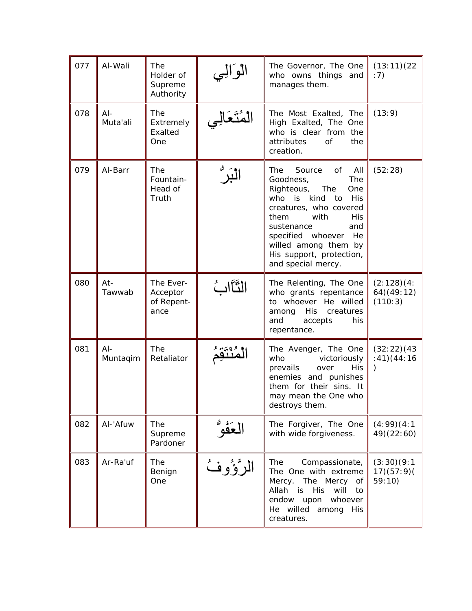| 077 | Al-Wali            | The<br>Holder of<br>Supreme<br>Authority    | الوالي     | The Governor, The One<br>who owns things and<br>manages them.                                                                                                                                                                                                                     | (13:11)(22)<br>:7)                      |
|-----|--------------------|---------------------------------------------|------------|-----------------------------------------------------------------------------------------------------------------------------------------------------------------------------------------------------------------------------------------------------------------------------------|-----------------------------------------|
| 078 | $AI -$<br>Muta'ali | The<br>Extremely<br>Exalted<br>One          | لمُتعالِي  | The Most Exalted, The<br>High Exalted, The One<br>who is clear from the<br>attributes<br><b>of</b><br>the<br>creation.                                                                                                                                                            | (13:9)                                  |
| 079 | Al-Barr            | The<br>Fountain-<br>Head of<br>Truth        | ڵڹۜڒ       | The<br>Source<br>of<br>All<br>The<br>Goodness,<br>Righteous, The<br>One<br>who<br>is kind<br>His<br>to<br>creatures, who covered<br>them<br>with<br>His<br>and<br>sustenance<br>specified whoever<br>He<br>willed among them by<br>His support, protection,<br>and special mercy. | (52:28)                                 |
| 080 | $At -$<br>Tawwab   | The Ever-<br>Acceptor<br>of Repent-<br>ance | الثَّاَابُ | The Relenting, The One<br>who grants repentance<br>to whoever He willed<br>His<br>creatures<br>among<br>and<br>accepts<br>his<br>repentance.                                                                                                                                      | (2:128)(4:<br>64) (49:12)<br>(110:3)    |
| 081 | $AI -$<br>Muntaqim | The<br>Retaliator                           |            | The Avenger, The One<br>who<br>victoriously<br>prevails<br>over<br>His<br>enemies and punishes<br>them for their sins. It<br>may mean the One who<br>destroys them.                                                                                                               | (32:22)(43)<br>(41)(44:16)<br>$\lambda$ |
| 082 | Al-'Afuw           | The<br>Supreme<br>Pardoner                  | لعَفُوٌ    | The Forgiver, The One<br>with wide forgiveness.                                                                                                                                                                                                                                   | (4:99)(4:1)<br>49) (22:60)              |
| 083 | Ar-Ra'uf           | The<br>Benign<br>One                        | الرَّوُوفُ | The<br>Compassionate,<br>The One with extreme<br>Mercy. The Mercy<br>of<br>Allah is<br><b>His</b><br>will<br>to<br>endow upon<br>whoever<br>He willed<br>among<br>His<br>creatures.                                                                                               | (3:30)(9:1)<br>17)(57:9)<br>59:10)      |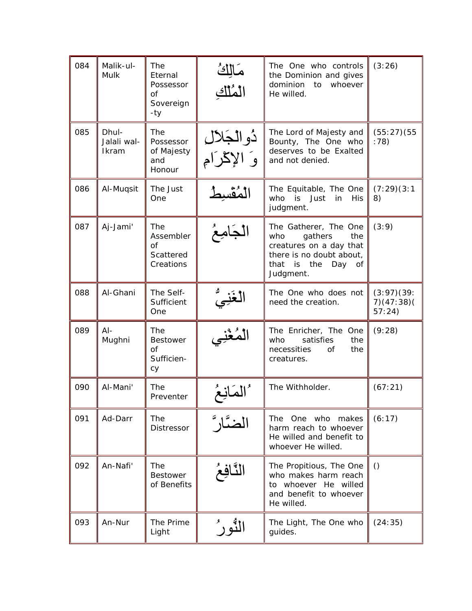| 084 | Malik-ul-<br>Mulk             | <b>The</b><br>Eternal<br>Possessor<br>0f<br>Sovereign<br>-ty | مَالِكُ<br>الْمُلْكِ         | The One who controls<br>the Dominion and gives<br>dominion<br>whoever<br>to<br>He willed.                                                      | (3:26)                            |
|-----|-------------------------------|--------------------------------------------------------------|------------------------------|------------------------------------------------------------------------------------------------------------------------------------------------|-----------------------------------|
| 085 | Dhul-<br>Jalali wal-<br>Ikram | The<br>Possessor<br>of Majesty<br>and<br>Honour              | دُوالجَلال<br>وَ الإِكْرَامِ | The Lord of Majesty and<br>Bounty, The One who<br>deserves to be Exalted<br>and not denied.                                                    | (55:27)(55)<br>:78)               |
| 086 | Al-Muqsit                     | The Just<br>One                                              |                              | The Equitable, The One<br>who<br>is<br>Just<br>in<br>His<br>judgment.                                                                          | (7:29)(3:1)<br>8)                 |
| 087 | Aj-Jami'                      | The<br>Assembler<br>0f<br>Scattered<br>Creations             | لجامعُ                       | The Gatherer, The One<br>who<br>gathers<br>the<br>creatures on a day that<br>there is no doubt about,<br>that is the<br>Day<br>of<br>Judgment. | (3:9)                             |
| 088 | Al-Ghani                      | The Self-<br>Sufficient<br>One                               | لغَنِىُّ                     | The One who does not<br>need the creation.                                                                                                     | (3:97)(39:<br>7)(47:38)<br>57:24) |
| 089 | $AI -$<br>Mughni              | The<br><b>Bestower</b><br><b>of</b><br>Sufficien-<br>cy      |                              | The Enricher, The One<br>satisfies<br>who<br>the<br>necessities<br>Οf<br>the<br>creatures.                                                     | (9:28)                            |
| 090 | Al-Mani'                      | The<br>Preventer                                             |                              | The Withholder.                                                                                                                                | (67:21)                           |
| 091 | Ad-Darr                       | The<br>Distressor                                            |                              | The One who makes<br>harm reach to whoever<br>He willed and benefit to<br>whoever He willed.                                                   | (6:17)                            |
| 092 | An-Nafi'                      | The<br><b>Bestower</b><br>of Benefits                        | النَّافِعُ                   | The Propitious, The One<br>who makes harm reach<br>to whoever He willed<br>and benefit to whoever<br>He willed.                                | ()                                |
| 093 | An-Nur                        | The Prime<br>Light                                           | لثّور '                      | The Light, The One who<br>guides.                                                                                                              | (24:35)                           |